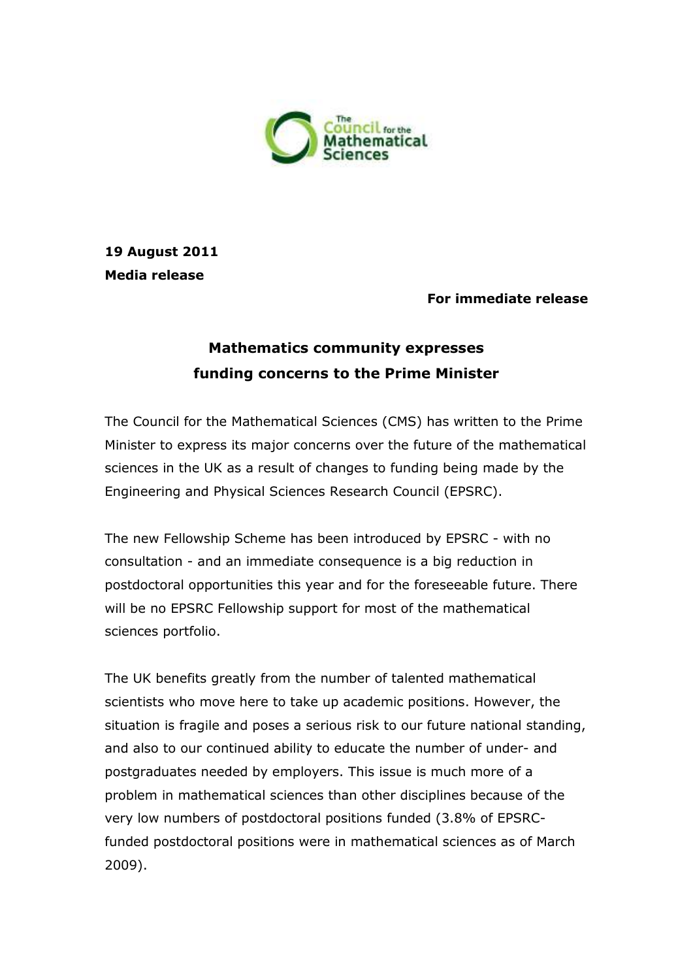

## **19 August 2011 Media release**

### **For immediate release**

# **Mathematics community expresses funding concerns to the Prime Minister**

The Council for the Mathematical Sciences (CMS) has written to the Prime Minister to express its major concerns over the future of the mathematical sciences in the UK as a result of changes to funding being made by the Engineering and Physical Sciences Research Council (EPSRC).

The new Fellowship Scheme has been introduced by EPSRC - with no consultation - and an immediate consequence is a big reduction in postdoctoral opportunities this year and for the foreseeable future. There will be no EPSRC Fellowship support for most of the mathematical sciences portfolio.

The UK benefits greatly from the number of talented mathematical scientists who move here to take up academic positions. However, the situation is fragile and poses a serious risk to our future national standing, and also to our continued ability to educate the number of under- and postgraduates needed by employers. This issue is much more of a problem in mathematical sciences than other disciplines because of the very low numbers of postdoctoral positions funded (3.8% of EPSRCfunded postdoctoral positions were in mathematical sciences as of March 2009).